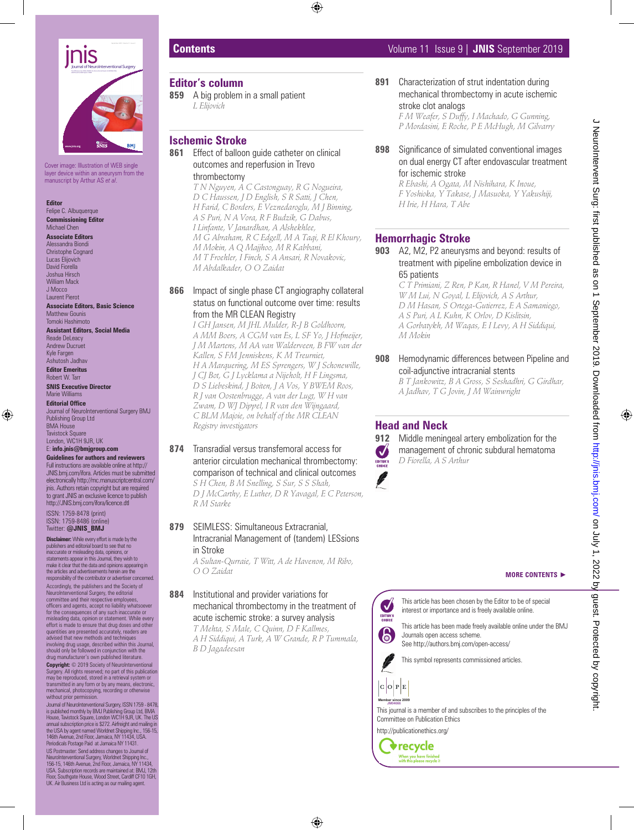

Cover image: Illustration of WEB single layer device within an aneurysm from the manuscript by Arthur AS *et al*.

#### **Editor**

Felipe C. Albuquerque **Commissioning Editor** Michael Chen

#### **Associate Editors**

Alessandra Biondi Christophe Cognard Lucas Elijovich David Fiorella Joshua Hirsch William Mack J Mocco Laurent Pierot

**Associate Editors, Basic Science** Matthew Gounis Tomoki Hashimoto

**Assistant Editors, Social Media** Reade DeLeacy Andrew Ducruet Kyle Fargen Ashutosh Jadhav

**Editor Emeritus** Robert W. Tarr

**SNIS Executive Director** Marie Williams **Editorial Office** Journal of NeuroInterventional Surgery BMJ Publishing Group Ltd BMA House Tavistock Square

#### London, WC1H 9JR, UK E: **info.jnis@bmjgroup.com**

**Guidelines for authors and reviewers** Full instructions are available online at http:// JNIS.bmj.com/ifora. Articles must be submitted electronically http://mc.manuscriptcentral.com/ jnis. Authors retain copyright but are required to grant JNIS an exclusive licence to publish http://JNIS.bmj.com/ifora/licence.dtl

ISSN: 1759-8478 (print) ISSN: 1759-8486 (online) Twitter: **@JNIS\_BMJ**

**Disclaimer:** While every effort is made by the publishers and editorial board to see that no inaccurate or misleading data, opinions, or statements appear in this Journal, they wish to make it clear that the data and opinions appearing in the articles and advertisements herein are the responsibility of the contributor or advertiser concerned. Accordingly, the publishers and the Society of NeuroInterventional Surgery, the editorial committee and their respective employees, officers and agents, accept no liability whatsoever for the consequences of any such inaccurate or leading data, opinion or statement. While every effort is made to ensure that drug doses and other quantities are presented accurately, readers are advised that new methods and techniques involving drug usage, described within this Journal, should only be followed in conjunction with the drug manufacturer's own published literature.

Copyright: © 2019 Society of NeuroInterventional Surgery. All rights reserved; no part of this publication may be reproduced, stored in a retrieval system or transmitted in any form or by any means, electronic, mechanical, photocopying, recording or otherwise without prior permission.

Journal of NeuroInterventional Surgery, ISSN 1759 - 8478,<br>is published monthly by BMJ Publishing Group Ltd, BMA<br>House, Tavistock Square, London WC1H 9JR, UK. The US<br>annual subscription price is \$272. Airfreight and mailing the USA by agent named Worldnet Shipping Inc., 156-15, 146th Avenue, 2nd Floor, Jamaica, NY 11434, USA. Periodicals Postage Paid at Jamaica NY 11431. US Postmaster: Send address changes to Journal of NeuroInterventional Surgery, Worldnet Shipping Inc., 156-15, 146th Avenue, 2nd Floor, Jamaica, NY 11434, USA. Subscription records are maintained at: BMJ, 12th

Floor, Southgate House, Wood Street, Cardiff CF10 1GH, UK. Air Business Ltd is acting as our mailing agent.

#### **Editor's column**

**859** A big problem in a small patient *L Elijovich*

# **Ischemic Stroke**

**861** Effect of balloon guide catheter on clinical outcomes and reperfusion in Trevo thrombectomy

> *T N Nguyen, A C Castonguay, R G Nogueira, D C Haussen, J D English, S R Satti, J Chen, H Farid, C Borders, E Veznedaroglu, M J Binning, A S Puri, N A Vora, R F Budzik, G Dabus, I Linfante, V Janardhan, A Alshekhlee, M G Abraham, R C Edgell, M A Taqi, R El Khoury, M Mokin, A Q Majjhoo, M R Kabbani, M T Froehler, I Finch, S A Ansari, R Novakovic, M Abdalkader, O O Zaidat*

#### **866** Impact of single phase CT angiography collateral status on functional outcome over time: results from the MR CLEAN Registry

*I GH Jansen, M JHL Mulder, R-J B Goldhoorn, A MM Boers, A CGM van Es, L SF Yo, J Hofmeijer, J M Martens, M AA van Walderveen, B FW van der Kallen, S FM Jenniskens, K M Treurniet, H A Marquering, M ES Sprengers, W J Schonewille, J CJ Bot, G J Lycklama a Nijeholt, H F Lingsma, D S Liebeskind, J Boiten, J A Vos, Y BWEM Roos, R J van Oostenbrugge, A van der Lugt, W H van Zwam, D WJ Dippel, I R van den Wijngaard, C BLM Majoie, on behalf of the MR CLEAN Registry investigators*

**874** Transradial versus transfemoral access for anterior circulation mechanical thrombectomy: comparison of technical and clinical outcomes

*S H Chen, B M Snelling, S Sur, S S Shah, D J McCarthy, E Luther, D R Yavagal, E C Peterson, R M Starke*

## **879** SEIMLESS: Simultaneous Extracranial, Intracranial Management of (tandem) LESsions in Stroke

*A Sultan-Qurraie, T Witt, A de Havenon, M Ribo, O O Zaidat*

# **884** Institutional and provider variations for mechanical thrombectomy in the treatment of acute ischemic stroke: a survey analysis

*T Mehta, S Male, C Quinn, D F Kallmes, A H Siddiqui, A Turk, A W Grande, R P Tummala, B D Jagadeesan*

# **Contents** Volume 11 Issue 9 | **JNIS** September 2019

**891** Characterization of strut indentation during mechanical thrombectomy in acute ischemic stroke clot analogs

> *F M Weafer, S Duffy, I Machado, G Gunning, P Mordasini, E Roche, P E McHugh, M Gilvarry*

#### **898** Significance of simulated conventional images on dual energy CT after endovascular treatment for ischemic stroke

*R Ebashi, A Ogata, M Nishihara, K Inoue, F Yoshioka, Y Takase, J Masuoka, Y Yakushiji, H Irie, H Hara, T Abe*

### **Hemorrhagic Stroke**

**903** A2, M2, P2 aneurysms and beyond: results of treatment with pipeline embolization device in 65 patients

*C T Primiani, Z Ren, P Kan, R Hanel, V M Pereira, W M Lui, N Goyal, L Elijovich, A S Arthur, D M Hasan, S Ortega-Gutierrez, E A Samaniego, A S Puri, A L Kuhn, K Orlov, D Kislitsin, A Gorbatykh, M Waqas, E I Levy, A H Siddiqui, M Mokin*

**908** Hemodynamic differences between Pipeline and coil-adjunctive intracranial stents

*B T Jankowitz, B A Gross, S Seshadhri, G Girdhar, A Jadhav, T G Jovin, J M Wainwright*

#### **Head and Neck**



**912** Middle meningeal artery embolization for the management of chronic subdural hematoma *D Fiorella, A S Arthur*



This article has been chosen by the Editor to be of special interest or importance and is freely available online.

EDITOR'S<br>CHOICE This article has been made freely available online under the BMJ Journals open access scheme. See http://authors.bmj.com/open-access/

This symbol represents commissioned articles.



 $\boldsymbol{\mathcal{J}}$ 



http://publicationethics.org/

**v**recycle When you have finished<br>with this please recycle it